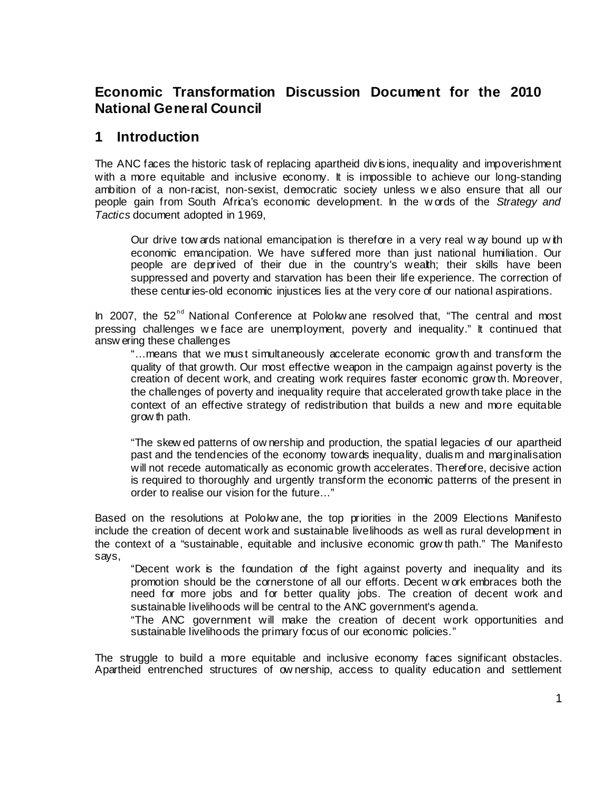# **Economic Transformation Discussion Document for the 2010 National General Council**

## **1 Introduction**

The ANC faces the historic task of replacing apartheid divisions, inequality and impoverishment with a more equitable and inclusive economy. It is impossible to achieve our long-standing ambition of a non-racist, non-sexist, democratic society unless w e also ensure that all our people gain from South Africa's economic development. In the w ords of the *Strategy and Tactics* document adopted in 1969,

Our drive tow ards national emancipation is therefore in a very real w ay bound up w ith economic emancipation. We have suffered more than just national humiliation. Our people are deprived of their due in the country's wealth; their skills have been suppressed and poverty and starvation has been their life experience. The correction of these centuries-old economic injustices lies at the very core of our national aspirations.

In 2007, the 52<sup>nd</sup> National Conference at Polokw ane resolved that, "The central and most pressing challenges w e face are unemployment, poverty and inequality." It continued that answ ering these challenges

"…means that we must simultaneously accelerate economic grow th and transform the quality of that growth. Our most effective weapon in the campaign against poverty is the creation of decent work, and creating work requires faster economic grow th. Moreover, the challenges of poverty and inequality require that accelerated growth take place in the context of an effective strategy of redistribution that builds a new and more equitable grow th path.

"The skew ed patterns of ow nership and production, the spatial legacies of our apartheid past and the tendencies of the economy towards inequality, dualism and marginalisation will not recede automatically as economic growth accelerates. Therefore, decisive action is required to thoroughly and urgently transform the economic patterns of the present in order to realise our vision for the future…"

Based on the resolutions at Polokw ane, the top priorities in the 2009 Elections Manifesto include the creation of decent work and sustainable livelihoods as well as rural development in the context of a "sustainable, equitable and inclusive economic grow th path." The Manifesto says,

"Decent work is the foundation of the fight against poverty and inequality and its promotion should be the cornerstone of all our efforts. Decent w ork embraces both the need for more jobs and for better quality jobs. The creation of decent work and sustainable livelihoods will be central to the ANC government's agenda.

"The ANC government will make the creation of decent work opportunities and sustainable livelihoods the primary focus of our economic policies."

The struggle to build a more equitable and inclusive economy faces significant obstacles. Apartheid entrenched structures of ow nership, access to quality education and settlement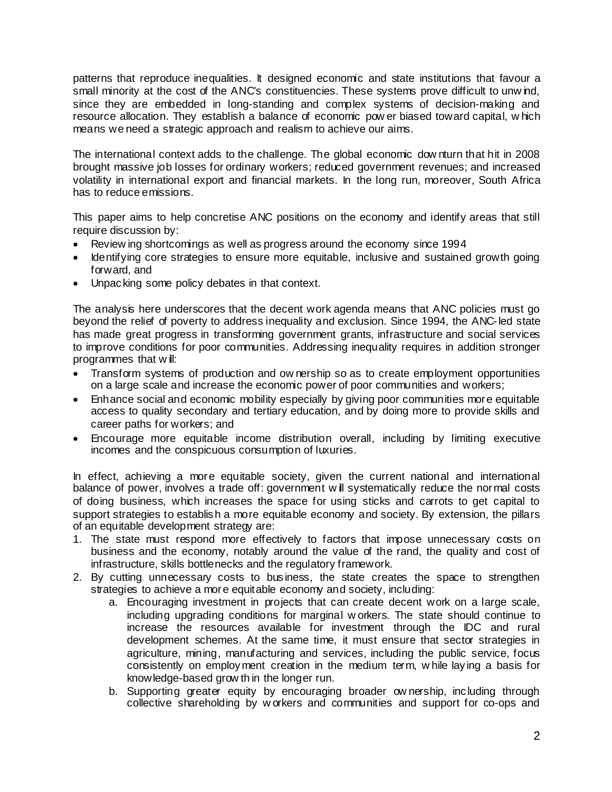patterns that reproduce inequalities. It designed economic and state institutions that favour a small minority at the cost of the ANC's constituencies. These systems prove difficult to unw ind, since they are embedded in long-standing and complex systems of decision-making and resource allocation. They establish a balance of economic pow er biased toward capital, w hich means we need a strategic approach and realism to achieve our aims.

The international context adds to the challenge. The global economic dow nturn that hit in 2008 brought massive job losses for ordinary workers; reduced government revenues; and increased volatility in international export and financial markets. In the long run, moreover, South Africa has to reduce emissions.

This paper aims to help concretise ANC positions on the economy and identify areas that still require discussion by:

- Review ing shortcomings as well as progress around the economy since 1994
- Identifying core strategies to ensure more equitable, inclusive and sustained growth going forward, and
- Unpacking some policy debates in that context.

The analysis here underscores that the decent work agenda means that ANC policies must go beyond the relief of poverty to address inequality and exclusion. Since 1994, the ANC-led state has made great progress in transforming government grants, infrastructure and social services to improve conditions for poor communities. Addressing inequality requires in addition stronger programmes that w ill:

- Transform systems of production and ow nership so as to create employment opportunities on a large scale and increase the economic power of poor communities and workers;
- Enhance social and economic mobility especially by giving poor communities more equitable access to quality secondary and tertiary education, and by doing more to provide skills and career paths for workers; and
- Encourage more equitable income distribution overall, including by limiting executive incomes and the conspicuous consumption of luxuries.

In effect, achieving a more equitable society, given the current national and international balance of power, involves a trade off: government will systematically reduce the normal costs of doing business, which increases the space for using sticks and carrots to get capital to support strategies to establish a more equitable economy and society. By extension, the pillars of an equitable development strategy are:

- 1. The state must respond more effectively to factors that impose unnecessary costs on business and the economy, notably around the value of the rand, the quality and cost of infrastructure, skills bottlenecks and the regulatory framework.
- 2. By cutting unnecessary costs to business, the state creates the space to strengthen strategies to achieve a more equitable economy and society, including:
	- a. Encouraging investment in projects that can create decent work on a large scale, including upgrading conditions for marginal w orkers. The state should continue to increase the resources available for investment through the IDC and rural development schemes. At the same time, it must ensure that sector strategies in agriculture, mining, manufacturing and services, including the public service, focus consistently on employment creation in the medium term, w hile laying a basis for knowledge-based grow th in the longer run.
	- b. Supporting greater equity by encouraging broader ow nership, including through collective shareholding by w orkers and communities and support for co-ops and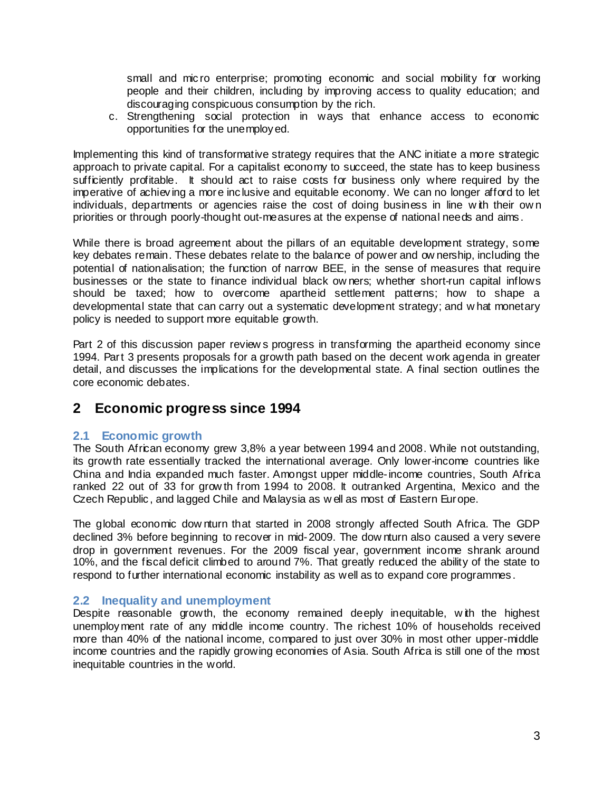small and micro enterprise; promoting economic and social mobility for working people and their children, including by improving access to quality education; and discouraging conspicuous consumption by the rich.

c. Strengthening social protection in ways that enhance access to economic opportunities for the unemployed.

Implementing this kind of transformative strategy requires that the ANC initiate a more strategic approach to private capital. For a capitalist economy to succeed, the state has to keep business sufficiently profitable. It should act to raise costs for business only where required by the imperative of achieving a more inclusive and equitable economy. We can no longer afford to let individuals, departments or agencies raise the cost of doing business in line with their own priorities or through poorly-thought out-measures at the expense of national needs and aims.

While there is broad agreement about the pillars of an equitable development strategy, some key debates remain. These debates relate to the balance of power and ow nership, including the potential of nationalisation; the function of narrow BEE, in the sense of measures that require businesses or the state to finance individual black ow ners; whether short-run capital inflows should be taxed; how to overcome apartheid settlement patterns; how to shape a developmental state that can carry out a systematic development strategy; and w hat monetary policy is needed to support more equitable growth.

Part 2 of this discussion paper review s progress in transforming the apartheid economy since 1994. Part 3 presents proposals for a growth path based on the decent work agenda in greater detail, and discusses the implications for the developmental state. A final section outlines the core economic debates.

## **2 Economic progress since 1994**

### **2.1 Economic growth**

The South African economy grew 3,8% a year between 1994 and 2008. While not outstanding, its growth rate essentially tracked the international average. Only lower-income countries like China and India expanded much faster. Amongst upper middle-income countries, South Africa ranked 22 out of 33 for grow th from 1994 to 2008. It outranked Argentina, Mexico and the Czech Republic, and lagged Chile and Malaysia as w ell as most of Eastern Europe.

The global economic dow nturn that started in 2008 strongly affected South Africa. The GDP declined 3% before beginning to recover in mid-2009. The dow nturn also caused a very severe drop in government revenues. For the 2009 fiscal year, government income shrank around 10%, and the fiscal deficit climbed to around 7%. That greatly reduced the ability of the state to respond to further international economic instability as well as to expand core programmes.

## **2.2 Inequality and unemployment**

Despite reasonable growth, the economy remained deeply inequitable, w ith the highest unemployment rate of any middle income country. The richest 10% of households received more than 40% of the national income, compared to just over 30% in most other upper-middle income countries and the rapidly growing economies of Asia. South Africa is still one of the most inequitable countries in the world.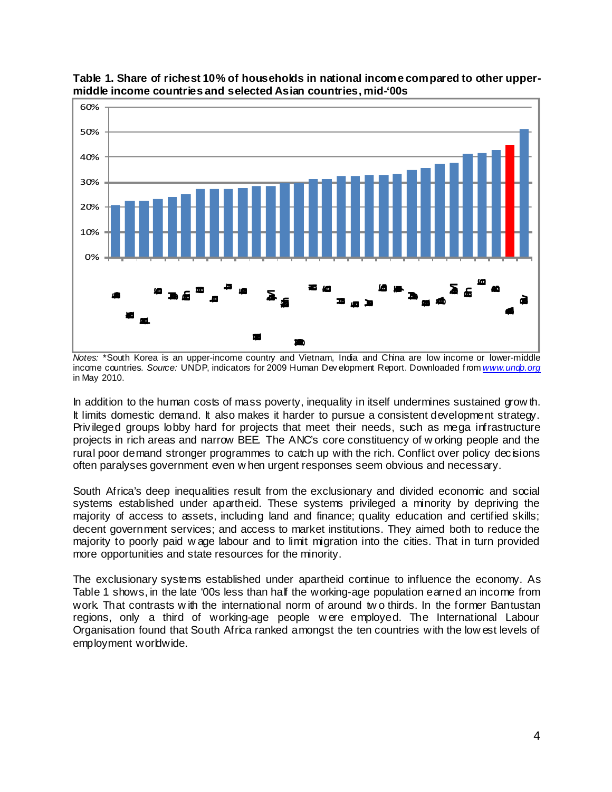

**Table 1. Share of richest 10% of households in national income compared to other uppermiddle income countries and selected Asian countries, mid-'00s**

*Notes:* \*South Korea is an upper-income country and Vietnam, India and China are low income or lower-middle income countries. *Source:* UNDP, indicators for 2009 Human Dev elopment Report. Downloaded f rom *www.undp.org* in May 2010.

In addition to the human costs of mass poverty, inequality in itself undermines sustained grow th. It limits domestic demand. It also makes it harder to pursue a consistent development strategy. Privileged groups lobby hard for projects that meet their needs, such as mega infrastructure projects in rich areas and narrow BEE. The ANC's core constituency of w orking people and the rural poor demand stronger programmes to catch up with the rich. Conflict over policy decisions often paralyses government even w hen urgent responses seem obvious and necessary.

South Africa's deep inequalities result from the exclusionary and divided economic and social systems established under apartheid. These systems privileged a minority by depriving the majority of access to assets, including land and finance; quality education and certified skills; decent government services; and access to market institutions. They aimed both to reduce the majority to poorly paid w age labour and to limit migration into the cities. That in turn provided more opportunities and state resources for the minority.

The exclusionary systems established under apartheid continue to influence the economy. As Table 1 shows, in the late '00s less than half the working-age population earned an income from work. That contrasts w ith the international norm of around tw o thirds. In the former Bantustan regions, only a third of working-age people w ere employed. The International Labour Organisation found that South Africa ranked amongst the ten countries with the low est levels of employment worldwide.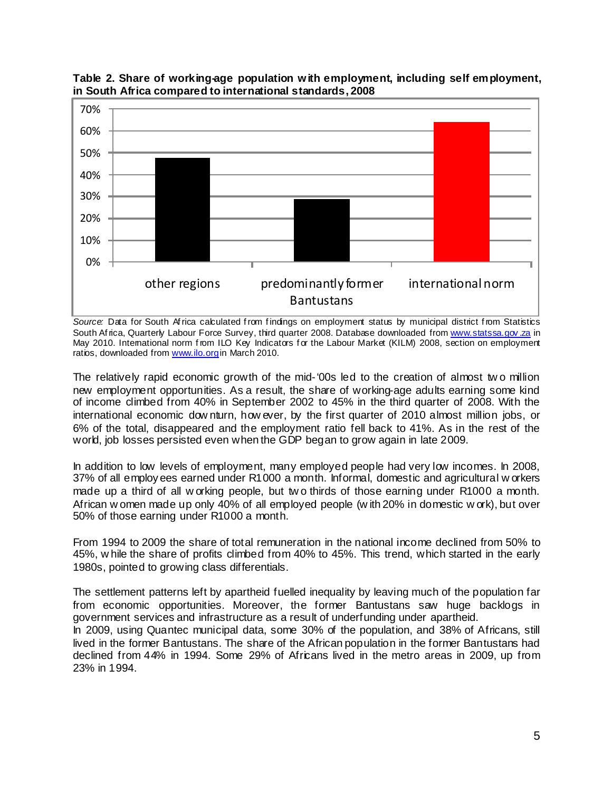



Source: Data for South Africa calculated from findings on employment status by municipal district from Statistics South Africa, Quarterly Labour Force Survey, third quarter 2008. Database downloaded from www.statssa.gov.za in May 2010. International norm from ILO Key Indicators for the Labour Market (KILM) 2008, section on employment ratios, downloaded from www.ilo.org in March 2010.

The relatively rapid economic growth of the mid-'00s led to the creation of almost tw o million new employment opportunities. As a result, the share of working-age adults earning some kind of income climbed from 40% in September 2002 to 45% in the third quarter of 2008. With the international economic dow nturn, how ever, by the first quarter of 2010 almost million jobs, or 6% of the total, disappeared and the employment ratio fell back to 41%. As in the rest of the world, job losses persisted even when the GDP began to grow again in late 2009.

In addition to low levels of employment, many employed people had very low incomes. In 2008, 37% of all employees earned under R1000 a month. Informal, domestic and agricultural w orkers made up a third of all w orking people, but tw o thirds of those earning under R1000 a month. African w omen made up only 40% of all employed people (w ith 20% in domestic w ork), but over 50% of those earning under R1000 a month.

From 1994 to 2009 the share of total remuneration in the national income declined from 50% to 45%, w hile the share of profits climbed from 40% to 45%. This trend, which started in the early 1980s, pointed to growing class differentials.

The settlement patterns left by apartheid fuelled inequality by leaving much of the population far from economic opportunities. Moreover, the former Bantustans saw huge backlogs in government services and infrastructure as a result of underfunding under apartheid.

In 2009, using Quantec municipal data, some 30% of the population, and 38% of Africans, still lived in the former Bantustans. The share of the African population in the former Bantustans had declined from 44% in 1994. Some 29% of Africans lived in the metro areas in 2009, up from 23% in 1994.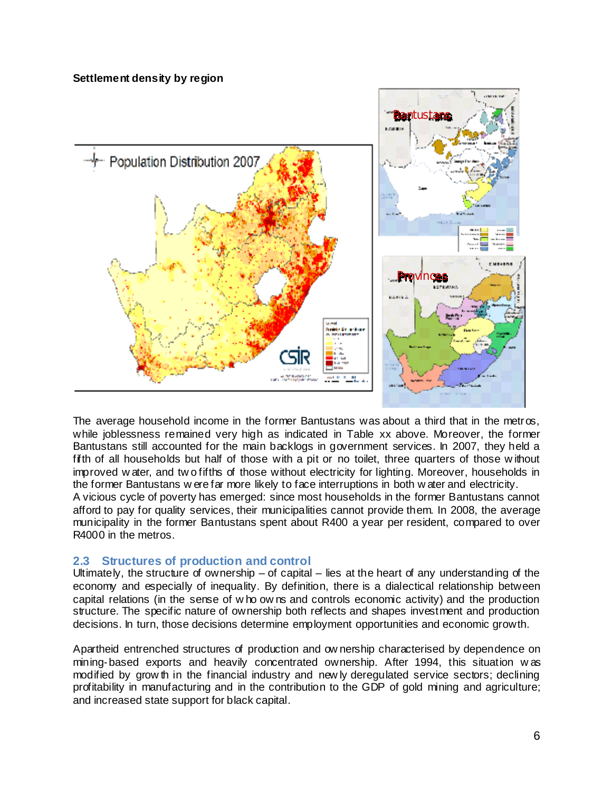### **Settlement density by region**



The average household income in the former Bantustans was about a third that in the metros, while joblessness remained very high as indicated in Table xx above. Moreover, the former Bantustans still accounted for the main backlogs in government services. In 2007, they held a fifth of all households but half of those with a pit or no toilet, three quarters of those w ithout improved w ater, and tw o fifths of those without electricity for lighting. Moreover, households in the former Bantustans w ere far more likely to face interruptions in both w ater and electricity. A vicious cycle of poverty has emerged: since most households in the former Bantustans cannot afford to pay for quality services, their municipalities cannot provide them. In 2008, the average

municipality in the former Bantustans spent about R400 a year per resident, compared to over

## **2.3 Structures of production and control**

R4000 in the metros.

Ultimately, the structure of ownership – of capital – lies at the heart of any understanding of the economy and especially of inequality. By definition, there is a dialectical relationship between capital relations (in the sense of w ho ow ns and controls economic activity) and the production structure. The specific nature of ownership both reflects and shapes investment and production decisions. In turn, those decisions determine employment opportunities and economic growth.

Apartheid entrenched structures of production and ow nership characterised by dependence on mining-based exports and heavily concentrated ownership. After 1994, this situation w as modified by grow th in the financial industry and new ly deregulated service sectors; declining profitability in manufacturing and in the contribution to the GDP of gold mining and agriculture; and increased state support for black capital.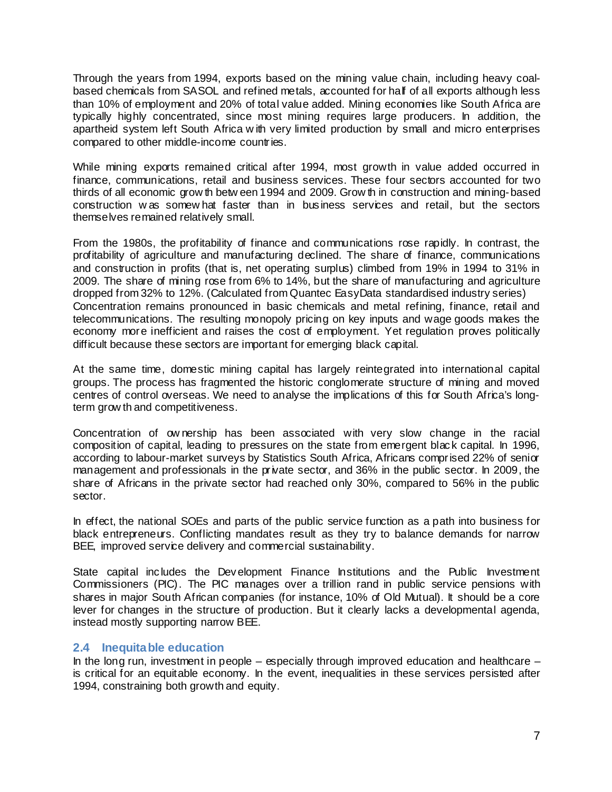Through the years from 1994, exports based on the mining value chain, including heavy coalbased chemicals from SASOL and refined metals, accounted for half of all exports although less than 10% of employment and 20% of total value added. Mining economies like South Africa are typically highly concentrated, since most mining requires large producers. In addition, the apartheid system left South Africa w ith very limited production by small and micro enterprises compared to other middle-income countries.

While mining exports remained critical after 1994, most growth in value added occurred in finance, communications, retail and business services. These four sectors accounted for two thirds of all economic grow th betw een 1994 and 2009. Grow th in construction and mining-based construction w as somew hat faster than in business services and retail, but the sectors themselves remained relatively small.

From the 1980s, the profitability of finance and communications rose rapidly. In contrast, the profitability of agriculture and manufacturing declined. The share of finance, communications and construction in profits (that is, net operating surplus) climbed from 19% in 1994 to 31% in 2009. The share of mining rose from 6% to 14%, but the share of manufacturing and agriculture dropped from 32% to 12%. (Calculated from Quantec EasyData standardised industry series) Concentration remains pronounced in basic chemicals and metal refining, finance, retail and telecommunications. The resulting monopoly pricing on key inputs and wage goods makes the economy more inefficient and raises the cost of employment. Yet regulation proves politically difficult because these sectors are important for emerging black capital.

At the same time, domestic mining capital has largely reintegrated into international capital groups. The process has fragmented the historic conglomerate structure of mining and moved centres of control overseas. We need to analyse the implications of this for South Africa's longterm grow th and competitiveness.

Concentration of ow nership has been associated with very slow change in the racial composition of capital, leading to pressures on the state from emergent black capital. In 1996, according to labour-market surveys by Statistics South Africa, Africans comprised 22% of senior management and professionals in the private sector, and 36% in the public sector. In 2009, the share of Africans in the private sector had reached only 30%, compared to 56% in the public sector.

In effect, the national SOEs and parts of the public service function as a path into business for black entrepreneurs. Conflicting mandates result as they try to balance demands for narrow BEE, improved service delivery and commercial sustainability.

State capital includes the Development Finance Institutions and the Public Investment Commissioners (PIC). The PIC manages over a trillion rand in public service pensions with shares in major South African companies (for instance, 10% of Old Mutual). It should be a core lever for changes in the structure of production. But it clearly lacks a developmental agenda, instead mostly supporting narrow BEE.

## **2.4 Inequitable education**

In the long run, investment in people – especially through improved education and healthcare – is critical for an equitable economy. In the event, inequalities in these services persisted after 1994, constraining both growth and equity.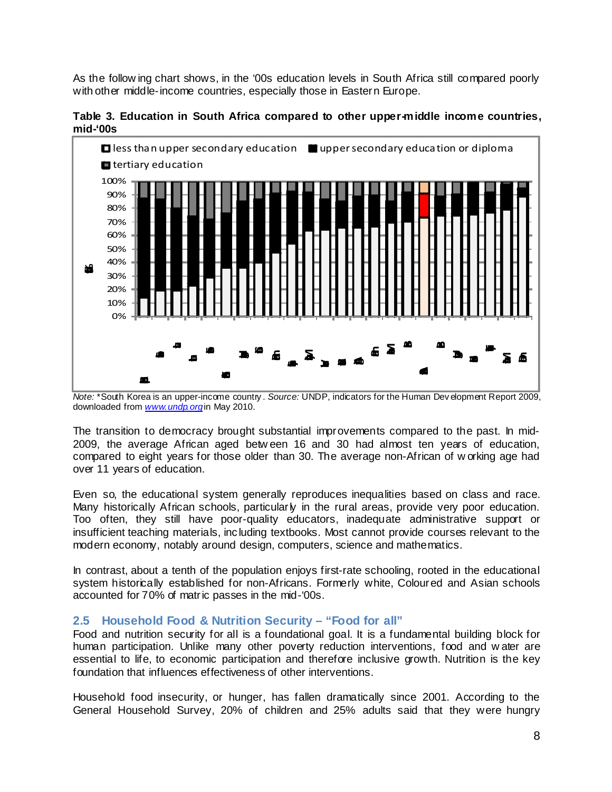As the follow ing chart shows, in the '00s education levels in South Africa still compared poorly with other middle-income countries, especially those in Eastern Europe.

**Table 3. Education in South Africa compared to other upper-middle income countries, mid-'00s**



*Note:* \*South Korea is an upper-income country . *Source:* UNDP, indicators for the Human Dev elopment Report 2009, downloaded from www.undp.orgin May 2010.

The transition to democracy brought substantial improvements compared to the past. In mid-2009, the average African aged betw een 16 and 30 had almost ten years of education, compared to eight years for those older than 30. The average non-African of w orking age had over 11 years of education.

Even so, the educational system generally reproduces inequalities based on class and race. Many historically African schools, particularly in the rural areas, provide very poor education. Too often, they still have poor-quality educators, inadequate administrative support or insufficient teaching materials, including textbooks. Most cannot provide courses relevant to the modern economy, notably around design, computers, science and mathematics.

In contrast, about a tenth of the population enjoys first-rate schooling, rooted in the educational system historically established for non-Africans. Formerly white, Coloured and Asian schools accounted for 70% of matric passes in the mid-'00s.

## **2.5 Household Food & Nutrition Security – "Food for all"**

Food and nutrition security for all is a foundational goal. It is a fundamental building block for human participation. Unlike many other poverty reduction interventions, food and w ater are essential to life, to economic participation and therefore inclusive growth. Nutrition is the key foundation that influences effectiveness of other interventions.

Household food insecurity, or hunger, has fallen dramatically since 2001. According to the General Household Survey, 20% of children and 25% adults said that they were hungry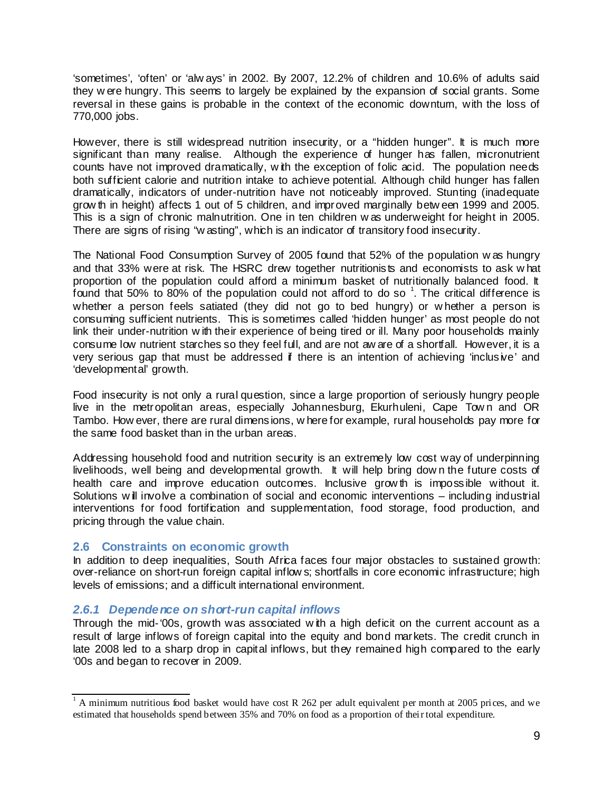'sometimes', 'often' or 'alw ays' in 2002. By 2007, 12.2% of children and 10.6% of adults said they w ere hungry. This seems to largely be explained by the expansion of social grants. Some reversal in these gains is probable in the context of the economic downturn, with the loss of 770,000 jobs.

However, there is still widespread nutrition insecurity, or a "hidden hunger". It is much more significant than many realise. Although the experience of hunger has fallen, micronutrient counts have not improved dramatically, w ith the exception of folic acid. The population needs both sufficient calorie and nutrition intake to achieve potential. Although child hunger has fallen dramatically, indicators of under-nutrition have not noticeably improved. Stunting (inadequate grow th in height) affects 1 out of 5 children, and improved marginally betw een 1999 and 2005. This is a sign of chronic malnutrition. One in ten children w as underweight for height in 2005. There are signs of rising "w asting", which is an indicator of transitory food insecurity.

The National Food Consumption Survey of 2005 found that 52% of the population w as hungry and that 33% were at risk. The HSRC drew together nutritionists and economists to ask w hat proportion of the population could afford a minimum basket of nutritionally balanced food. It found that 50% to 80% of the population could not afford to do so  $^1$ . The critical difference is whether a person feels satiated (they did not go to bed hungry) or w hether a person is consuming sufficient nutrients. This is sometimes called 'hidden hunger' as most people do not link their under-nutrition w ith their experience of being tired or ill. Many poor households mainly consume low nutrient starches so they feel full, and are not aw are of a shortfall. However, it is a very serious gap that must be addressed if there is an intention of achieving 'inclusive' and 'developmental' growth.

Food insecurity is not only a rural question, since a large proportion of seriously hungry people live in the metropolitan areas, especially Johannesburg, Ekurhuleni, Cape Tow n and OR Tambo. How ever, there are rural dimensions, w here for example, rural households pay more for the same food basket than in the urban areas.

Addressing household food and nutrition security is an extremely low cost way of underpinning livelihoods, well being and developmental growth. It will help bring dow n the future costs of health care and improve education outcomes. Inclusive grow th is impossible without it. Solutions w ill involve a combination of social and economic interventions – including industrial interventions for food fortification and supplementation, food storage, food production, and pricing through the value chain.

### **2.6 Constraints on economic growth**

In addition to deep inequalities, South Africa faces four major obstacles to sustained growth: over-reliance on short-run foreign capital inflow s; shortfalls in core economic infrastructure; high levels of emissions; and a difficult international environment.

## *2.6.1 Dependence on short-run capital inflows*

Through the mid-'00s, growth was associated w ith a high deficit on the current account as a result of large inflows of foreign capital into the equity and bond markets. The credit crunch in late 2008 led to a sharp drop in capital inflows, but they remained high compared to the early '00s and began to recover in 2009.

<sup>&</sup>lt;sup>1</sup> A minimum nutritious food basket would have cost R 262 per adult equivalent per month at 2005 prices, and we estimated that households spend between 35% and 70% on food as a proportion of their total expenditure.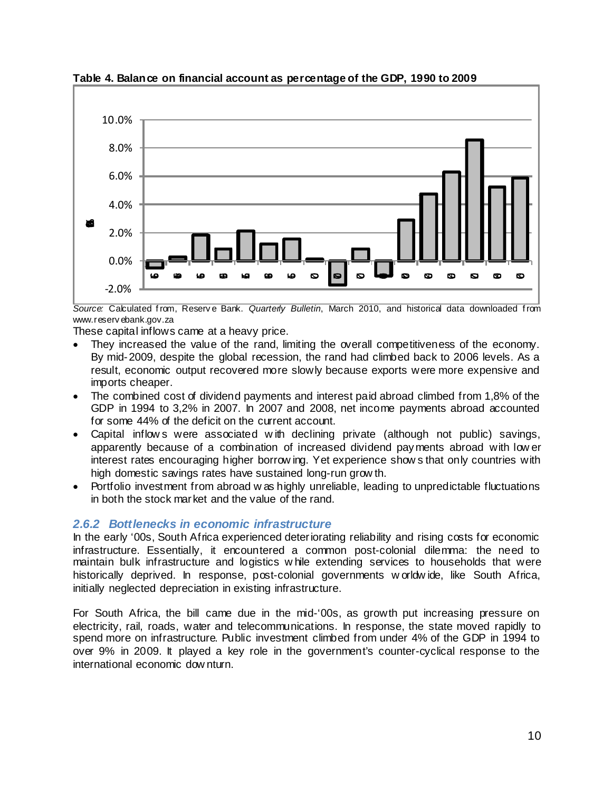

**Table 4. Balance on financial account as percentage of the GDP, 1990 to 2009**

*Source:* Calculated f rom, Reserv e Bank. *Quarterly Bulletin*, March 2010, and historical data downloaded f rom www.reserv ebank.gov.za

These capital inflows came at a heavy price.

- They increased the value of the rand, limiting the overall competitiveness of the economy. By mid-2009, despite the global recession, the rand had climbed back to 2006 levels. As a result, economic output recovered more slowly because exports were more expensive and imports cheaper.
- The combined cost of dividend payments and interest paid abroad climbed from 1,8% of the GDP in 1994 to 3,2% in 2007. In 2007 and 2008, net income payments abroad accounted for some 44% of the deficit on the current account.
- Capital inflow s were associated w ith declining private (although not public) savings, apparently because of a combination of increased dividend payments abroad with low er interest rates encouraging higher borrow ing. Yet experience show s that only countries with high domestic savings rates have sustained long-run grow th.
- Portfolio investment from abroad w as highly unreliable, leading to unpredictable fluctuations in both the stock market and the value of the rand.

## *2.6.2 Bottlenecks in economic infrastructure*

In the early '00s, South Africa experienced deteriorating reliability and rising costs for economic infrastructure. Essentially, it encountered a common post-colonial dilemma: the need to maintain bulk infrastructure and logistics w hile extending services to households that were historically deprived. In response, post-colonial governments w orldw ide, like South Africa, initially neglected depreciation in existing infrastructure.

For South Africa, the bill came due in the mid-'00s, as growth put increasing pressure on electricity, rail, roads, water and telecommunications. In response, the state moved rapidly to spend more on infrastructure. Public investment climbed from under 4% of the GDP in 1994 to over 9% in 2009. It played a key role in the government's counter-cyclical response to the international economic dow nturn.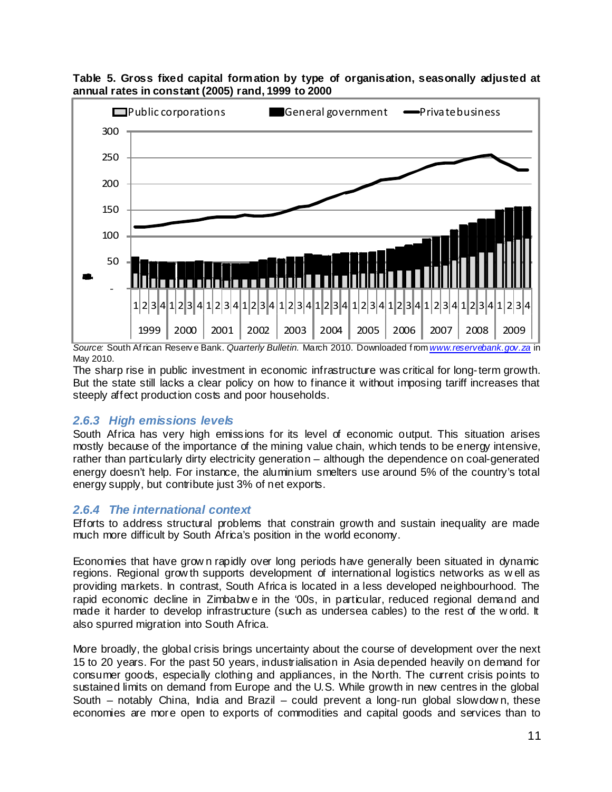

**Table 5. Gross fixed capital formation by type of organisation, seasonally adjusted at annual rates in constant (2005) rand, 1999 to 2000**

*Source:* South Af rican Reserv e Bank. *Quarterly Bulletin.* March 2010. Downloaded f rom *www.reservebank.gov.za* in May 2010.

The sharp rise in public investment in economic infrastructure was critical for long-term growth. But the state still lacks a clear policy on how to finance it without imposing tariff increases that steeply affect production costs and poor households.

## *2.6.3 High emissions levels*

South Africa has very high emissions for its level of economic output. This situation arises mostly because of the importance of the mining value chain, which tends to be energy intensive, rather than particularly dirty electricity generation – although the dependence on coal-generated energy doesn't help. For instance, the aluminium smelters use around 5% of the country's total energy supply, but contribute just 3% of net exports.

## *2.6.4 The international context*

Efforts to address structural problems that constrain growth and sustain inequality are made much more difficult by South Africa's position in the world economy.

Economies that have grow n rapidly over long periods have generally been situated in dynamic regions. Regional grow th supports development of international logistics networks as w ell as providing markets. In contrast, South Africa is located in a less developed neighbourhood. The rapid economic decline in Zimbabw e in the '00s, in particular, reduced regional demand and made it harder to develop infrastructure (such as undersea cables) to the rest of the w orld. It also spurred migration into South Africa.

More broadly, the global crisis brings uncertainty about the course of development over the next 15 to 20 years. For the past 50 years, industrialisation in Asia depended heavily on demand for consumer goods, especially clothing and appliances, in the North. The current crisis points to sustained limits on demand from Europe and the U.S. While growth in new centres in the global South – notably China, India and Brazil – could prevent a long-run global slowdown, these economies are more open to exports of commodities and capital goods and services than to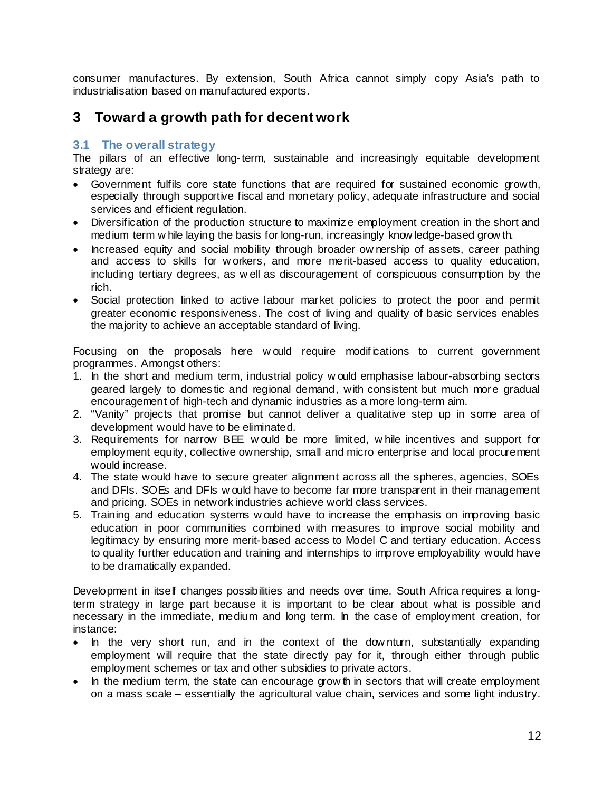consumer manufactures. By extension, South Africa cannot simply copy Asia's path to industrialisation based on manufactured exports.

# **3 Toward a growth path for decent work**

## **3.1 The overall strategy**

The pillars of an effective long-term, sustainable and increasingly equitable development strategy are:

- Government fulfils core state functions that are required for sustained economic growth, especially through supportive fiscal and monetary policy, adequate infrastructure and social services and efficient regulation.
- Diversification of the production structure to maximize employment creation in the short and medium term w hile laying the basis for long-run, increasingly know ledge-based grow th.
- Increased equity and social mobility through broader ow nership of assets, career pathing and access to skills for w orkers, and more merit-based access to quality education, including tertiary degrees, as w ell as discouragement of conspicuous consumption by the rich.
- Social protection linked to active labour market policies to protect the poor and permit greater economic responsiveness. The cost of living and quality of basic services enables the majority to achieve an acceptable standard of living.

Focusing on the proposals here would require modifications to current government programmes. Amongst others:

- 1. In the short and medium term, industrial policy w ould emphasise labour-absorbing sectors geared largely to domestic and regional demand, with consistent but much more gradual encouragement of high-tech and dynamic industries as a more long-term aim.
- 2. "Vanity" projects that promise but cannot deliver a qualitative step up in some area of development would have to be eliminated.
- 3. Requirements for narrow BEE w ould be more limited, w hile incentives and support for employment equity, collective ownership, small and micro enterprise and local procurement would increase.
- 4. The state would have to secure greater alignment across all the spheres, agencies, SOEs and DFIs. SOEs and DFIs w ould have to become far more transparent in their management and pricing. SOEs in network industries achieve world class services.
- 5. Training and education systems w ould have to increase the emphasis on improving basic education in poor communities combined with measures to improve social mobility and legitimacy by ensuring more merit-based access to Model C and tertiary education. Access to quality further education and training and internships to improve employability would have to be dramatically expanded.

Development in itself changes possibilities and needs over time. South Africa requires a longterm strategy in large part because it is important to be clear about what is possible and necessary in the immediate, medium and long term. In the case of employment creation, for instance:

- In the very short run, and in the context of the dow nturn, substantially expanding employment will require that the state directly pay for it, through either through public employment schemes or tax and other subsidies to private actors.
- In the medium term, the state can encourage grow th in sectors that will create employment on a mass scale – essentially the agricultural value chain, services and some light industry.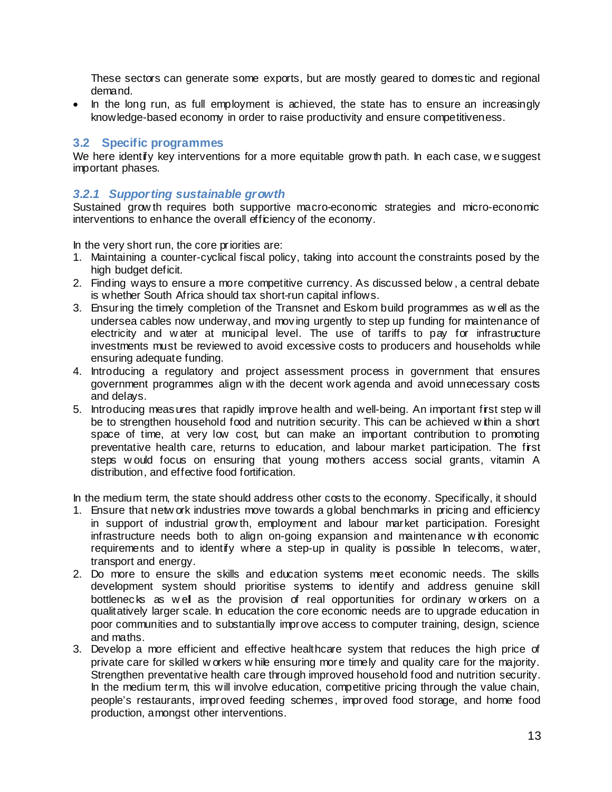These sectors can generate some exports, but are mostly geared to domestic and regional demand.

• In the long run, as full employment is achieved, the state has to ensure an increasingly knowledge-based economy in order to raise productivity and ensure competitiveness.

### **3.2 Specific programmes**

We here identify key interventions for a more equitable grow th path. In each case, we suggest important phases.

### *3.2.1 Supporting sustainable growth*

Sustained grow th requires both supportive macro-economic strategies and micro-economic interventions to enhance the overall efficiency of the economy.

In the very short run, the core priorities are:

- 1. Maintaining a counter-cyclical fiscal policy, taking into account the constraints posed by the high budget deficit.
- 2. Finding ways to ensure a more competitive currency. As discussed below , a central debate is whether South Africa should tax short-run capital inflows.
- 3. Ensuring the timely completion of the Transnet and Eskom build programmes as w ell as the undersea cables now underway, and moving urgently to step up funding for maintenance of electricity and water at municipal level. The use of tariffs to pay for infrastructure investments must be reviewed to avoid excessive costs to producers and households while ensuring adequate funding.
- 4. Introducing a regulatory and project assessment process in government that ensures government programmes align w ith the decent work agenda and avoid unnecessary costs and delays.
- 5. Introducing measures that rapidly improve health and well-being. An important first step w ill be to strengthen household food and nutrition security. This can be achieved w ithin a short space of time, at very low cost, but can make an important contribution to promoting preventative health care, returns to education, and labour market participation. The first steps w ould focus on ensuring that young mothers access social grants, vitamin A distribution, and effective food fortification.

In the medium term, the state should address other costs to the economy. Specifically, it should

- 1. Ensure that netw ork industries move towards a global benchmarks in pricing and efficiency in support of industrial grow th, employment and labour market participation. Foresight infrastructure needs both to align on-going expansion and maintenance w ith economic requirements and to identify where a step-up in quality is possible In telecoms, water, transport and energy.
- 2. Do more to ensure the skills and education systems meet economic needs. The skills development system should prioritise systems to identify and address genuine skill bottlenecks as w ell as the provision of real opportunities for ordinary w orkers on a qualitatively larger scale. In education the core economic needs are to upgrade education in poor communities and to substantially improve access to computer training, design, science and maths.
- 3. Develop a more efficient and effective healthcare system that reduces the high price of private care for skilled w orkers w hile ensuring more timely and quality care for the majority. Strengthen preventative health care through improved household food and nutrition security. In the medium term, this will involve education, competitive pricing through the value chain, people's restaurants, improved feeding schemes, improved food storage, and home food production, amongst other interventions.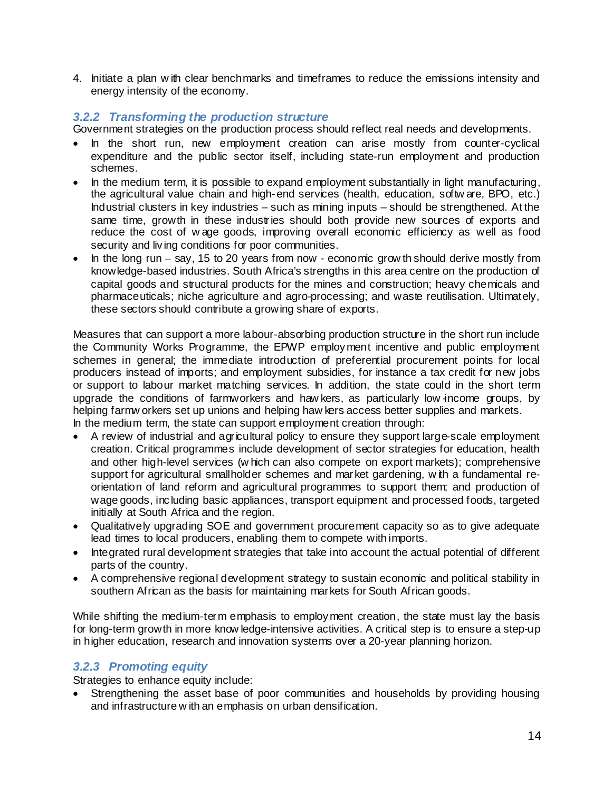4. Initiate a plan w ith clear benchmarks and timeframes to reduce the emissions intensity and energy intensity of the economy.

### *3.2.2 Transforming the production structure*

Government strategies on the production process should reflect real needs and developments.

- In the short run, new employment creation can arise mostly from counter-cyclical expenditure and the public sector itself, including state-run employment and production schemes.
- In the medium term, it is possible to expand employment substantially in light manufacturing, the agricultural value chain and high-end services (health, education, softw are, BPO, etc.) Industrial clusters in key industries – such as mining inputs – should be strengthened. At the same time, growth in these industries should both provide new sources of exports and reduce the cost of w age goods, improving overall economic efficiency as well as food security and living conditions for poor communities.
- In the long run say, 15 to 20 years from now economic grow th should derive mostly from knowledge-based industries. South Africa's strengths in this area centre on the production of capital goods and structural products for the mines and construction; heavy chemicals and pharmaceuticals; niche agriculture and agro-processing; and waste reutilisation. Ultimately, these sectors should contribute a growing share of exports.

Measures that can support a more labour-absorbing production structure in the short run include the Community Works Programme, the EPWP employment incentive and public employment schemes in general; the immediate introduction of preferential procurement points for local producers instead of imports; and employment subsidies, for instance a tax credit for new jobs or support to labour market matching services. In addition, the state could in the short term upgrade the conditions of farmworkers and haw kers, as particularly low income groups, by helping farmw orkers set up unions and helping haw kers access better supplies and markets. In the medium term, the state can support employment creation through:

- A review of industrial and agricultural policy to ensure they support large-scale employment creation. Critical programmes include development of sector strategies for education, health and other high-level services (w hich can also compete on export markets); comprehensive support for agricultural smallholder schemes and market gardening, w th a fundamental reorientation of land reform and agricultural programmes to support them; and production of wage goods, including basic appliances, transport equipment and processed foods, targeted initially at South Africa and the region.
- Qualitatively upgrading SOE and government procurement capacity so as to give adequate lead times to local producers, enabling them to compete with imports.
- Integrated rural development strategies that take into account the actual potential of different parts of the country.
- A comprehensive regional development strategy to sustain economic and political stability in southern African as the basis for maintaining markets for South African goods.

While shifting the medium-term emphasis to employment creation, the state must lay the basis for long-term growth in more know ledge-intensive activities. A critical step is to ensure a step-up in higher education, research and innovation systems over a 20-year planning horizon.

## *3.2.3 Promoting equity*

Strategies to enhance equity include:

• Strengthening the asset base of poor communities and households by providing housing and infrastructure w ith an emphasis on urban densification.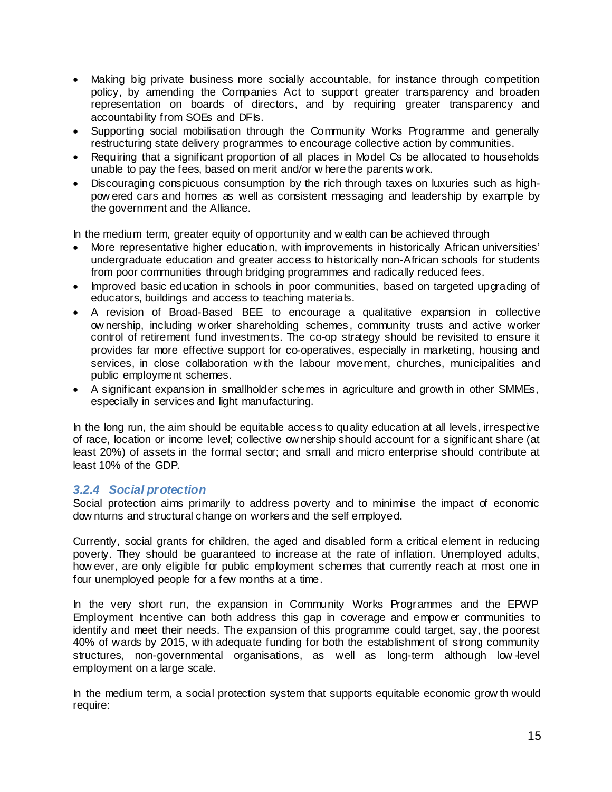- Making big private business more socially accountable, for instance through competition policy, by amending the Companies Act to support greater transparency and broaden representation on boards of directors, and by requiring greater transparency and accountability from SOEs and DFIs.
- Supporting social mobilisation through the Community Works Programme and generally restructuring state delivery programmes to encourage collective action by communities.
- Requiring that a significant proportion of all places in Model Cs be allocated to households unable to pay the fees, based on merit and/or w here the parents w ork.
- Discouraging conspicuous consumption by the rich through taxes on luxuries such as highpow ered cars and homes as well as consistent messaging and leadership by example by the government and the Alliance.

In the medium term, greater equity of opportunity and w ealth can be achieved through

- More representative higher education, with improvements in historically African universities' undergraduate education and greater access to historically non-African schools for students from poor communities through bridging programmes and radically reduced fees.
- Improved basic education in schools in poor communities, based on targeted upgrading of educators, buildings and access to teaching materials.
- A revision of Broad-Based BEE to encourage a qualitative expansion in collective ow nership, including w orker shareholding schemes, community trusts and active worker control of retirement fund investments. The co-op strategy should be revisited to ensure it provides far more effective support for co-operatives, especially in marketing, housing and services, in close collaboration with the labour movement, churches, municipalities and public employment schemes.
- A significant expansion in smallholder schemes in agriculture and growth in other SMMEs, especially in services and light manufacturing.

In the long run, the aim should be equitable access to quality education at all levels, irrespective of race, location or income level; collective ow nership should account for a significant share (at least 20%) of assets in the formal sector; and small and micro enterprise should contribute at least 10% of the GDP.

## *3.2.4 Social protection*

Social protection aims primarily to address poverty and to minimise the impact of economic dow nturns and structural change on workers and the self employed.

Currently, social grants for children, the aged and disabled form a critical element in reducing poverty. They should be guaranteed to increase at the rate of inflation. Unemployed adults, how ever, are only eligible for public employment schemes that currently reach at most one in four unemployed people for a few months at a time.

In the very short run, the expansion in Community Works Programmes and the EPWP Employment Incentive can both address this gap in coverage and empow er communities to identify and meet their needs. The expansion of this programme could target, say, the poorest 40% of wards by 2015, w ith adequate funding for both the establishment of strong community structures, non-governmental organisations, as well as long-term although low -level employment on a large scale.

In the medium term, a social protection system that supports equitable economic grow th would require: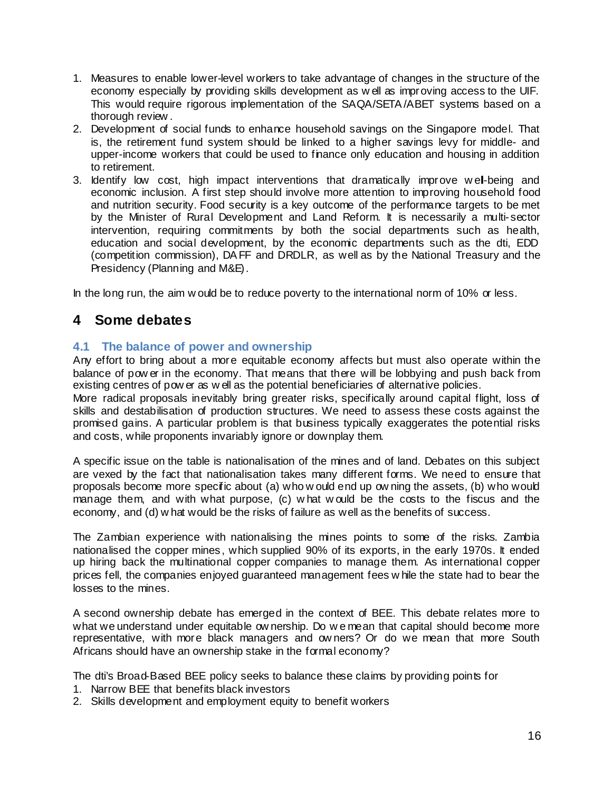- 1. Measures to enable lower-level workers to take advantage of changes in the structure of the economy especially by providing skills development as w ell as improving access to the UIF. This would require rigorous implementation of the SAQA/SETA /ABET systems based on a thorough review .
- 2. Development of social funds to enhance household savings on the Singapore model. That is, the retirement fund system should be linked to a higher savings levy for middle- and upper-income workers that could be used to finance only education and housing in addition to retirement.
- 3. Identify low cost, high impact interventions that dramatically improve w ell-being and economic inclusion. A first step should involve more attention to improving household food and nutrition security. Food security is a key outcome of the performance targets to be met by the Minister of Rural Development and Land Reform. It is necessarily a multi-sector intervention, requiring commitments by both the social departments such as health, education and social development, by the economic departments such as the dti, EDD (competition commission), DA FF and DRDLR, as well as by the National Treasury and the Presidency (Planning and M&E).

In the long run, the aim w ould be to reduce poverty to the international norm of 10% or less.

# **4 Some debates**

## **4.1 The balance of power and ownership**

Any effort to bring about a more equitable economy affects but must also operate within the balance of pow er in the economy. That means that there will be lobbying and push back from existing centres of pow er as w ell as the potential beneficiaries of alternative policies.

More radical proposals inevitably bring greater risks, specifically around capital flight, loss of skills and destabilisation of production structures. We need to assess these costs against the promised gains. A particular problem is that business typically exaggerates the potential risks and costs, while proponents invariably ignore or downplay them.

A specific issue on the table is nationalisation of the mines and of land. Debates on this subject are vexed by the fact that nationalisation takes many different forms. We need to ensure that proposals become more specific about (a) who w ould end up ow ning the assets, (b) who would manage them, and with what purpose, (c) w hat w ould be the costs to the fiscus and the economy, and (d) w hat would be the risks of failure as well as the benefits of success.

The Zambian experience with nationalising the mines points to some of the risks. Zambia nationalised the copper mines, which supplied 90% of its exports, in the early 1970s. It ended up hiring back the multinational copper companies to manage them. As international copper prices fell, the companies enjoyed guaranteed management fees w hile the state had to bear the losses to the mines.

A second ownership debate has emerged in the context of BEE. This debate relates more to what we understand under equitable ow nership. Do w e mean that capital should become more representative, with more black managers and ow ners? Or do we mean that more South Africans should have an ownership stake in the formal economy?

The dti's Broad-Based BEE policy seeks to balance these claims by providing points for

- 1. Narrow BEE that benefits black investors
- 2. Skills development and employment equity to benefit workers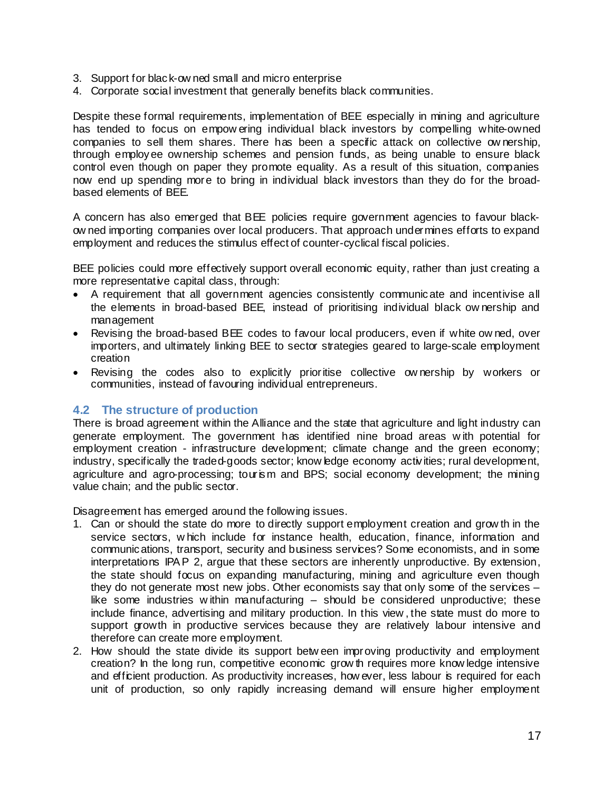- 3. Support for black-ow ned small and micro enterprise
- 4. Corporate social investment that generally benefits black communities.

Despite these formal requirements, implementation of BEE especially in mining and agriculture has tended to focus on empow ering individual black investors by compelling white-owned companies to sell them shares. There has been a specific attack on collective ow nership, through employee ownership schemes and pension funds, as being unable to ensure black control even though on paper they promote equality. As a result of this situation, companies now end up spending more to bring in individual black investors than they do for the broadbased elements of BEE.

A concern has also emerged that BEE policies require government agencies to favour blackow ned importing companies over local producers. That approach undermines efforts to expand employment and reduces the stimulus effect of counter-cyclical fiscal policies.

BEE policies could more effectively support overall economic equity, rather than just creating a more representative capital class, through:

- A requirement that all government agencies consistently communicate and incentivise all the elements in broad-based BEE, instead of prioritising individual black ow nership and management
- Revising the broad-based BEE codes to favour local producers, even if white owned, over importers, and ultimately linking BEE to sector strategies geared to large-scale employment creation
- Revising the codes also to explicitly prioritise collective ow nership by workers or communities, instead of favouring individual entrepreneurs.

### **4.2 The structure of production**

There is broad agreement within the Alliance and the state that agriculture and light industry can generate employment. The government has identified nine broad areas w ith potential for employment creation - infrastructure development; climate change and the green economy; industry, specifically the traded-goods sector; know ledge economy activities; rural development, agriculture and agro-processing; tourism and BPS; social economy development; the mining value chain; and the public sector.

Disagreement has emerged around the following issues.

- 1. Can or should the state do more to directly support employment creation and grow th in the service sectors, w hich include for instance health, education, finance, information and communications, transport, security and business services? Some economists, and in some interpretations IPA P 2, argue that these sectors are inherently unproductive. By extension, the state should focus on expanding manufacturing, mining and agriculture even though they do not generate most new jobs. Other economists say that only some of the services – like some industries w ithin manufacturing – should be considered unproductive; these include finance, advertising and military production. In this view , the state must do more to support growth in productive services because they are relatively labour intensive and therefore can create more employment.
- 2. How should the state divide its support betw een improving productivity and employment creation? In the long run, competitive economic grow th requires more know ledge intensive and efficient production. As productivity increases, how ever, less labour is required for each unit of production, so only rapidly increasing demand will ensure higher employment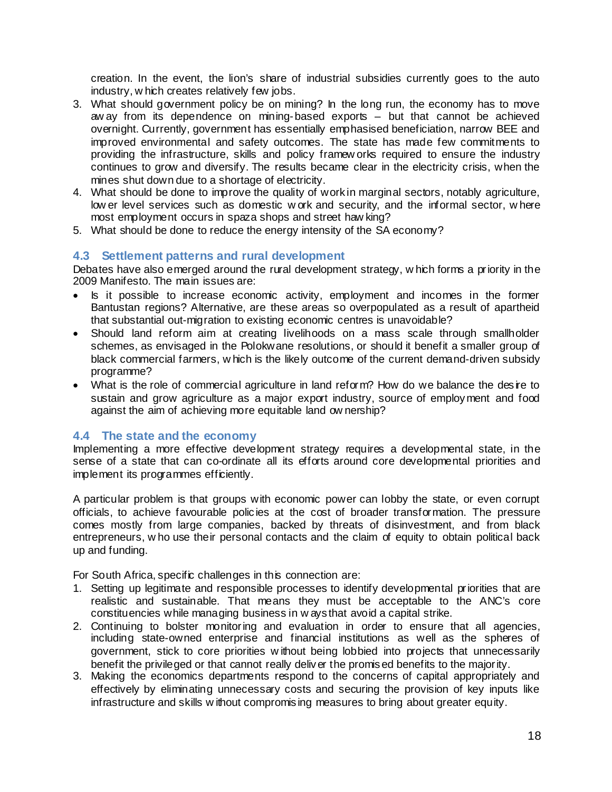creation. In the event, the lion's share of industrial subsidies currently goes to the auto industry, w hich creates relatively few jobs.

- 3. What should government policy be on mining? In the long run, the economy has to move aw ay from its dependence on mining-based exports – but that cannot be achieved overnight. Currently, government has essentially emphasised beneficiation, narrow BEE and improved environmental and safety outcomes. The state has made few commitments to providing the infrastructure, skills and policy framew orks required to ensure the industry continues to grow and diversify. The results became clear in the electricity crisis, when the mines shut down due to a shortage of electricity.
- 4. What should be done to improve the quality of work in marginal sectors, notably agriculture, low er level services such as domestic w ork and security, and the informal sector, w here most employment occurs in spaza shops and street haw king?
- 5. What should be done to reduce the energy intensity of the SA economy?

## **4.3 Settlement patterns and rural development**

Debates have also emerged around the rural development strategy, w hich forms a priority in the 2009 Manifesto. The main issues are:

- Is it possible to increase economic activity, employment and incomes in the former Bantustan regions? Alternative, are these areas so overpopulated as a result of apartheid that substantial out-migration to existing economic centres is unavoidable?
- Should land reform aim at creating livelihoods on a mass scale through smallholder schemes, as envisaged in the Polokwane resolutions, or should it benefit a smaller group of black commercial farmers, w hich is the likely outcome of the current demand-driven subsidy programme?
- What is the role of commercial agriculture in land reform? How do we balance the desire to sustain and grow agriculture as a major export industry, source of employment and food against the aim of achieving more equitable land ow nership?

### **4.4 The state and the economy**

Implementing a more effective development strategy requires a developmental state, in the sense of a state that can co-ordinate all its efforts around core developmental priorities and implement its programmes efficiently.

A particular problem is that groups with economic power can lobby the state, or even corrupt officials, to achieve favourable policies at the cost of broader transformation. The pressure comes mostly from large companies, backed by threats of disinvestment, and from black entrepreneurs, w ho use their personal contacts and the claim of equity to obtain political back up and funding.

For South Africa, specific challenges in this connection are:

- 1. Setting up legitimate and responsible processes to identify developmental priorities that are realistic and sustainable. That means they must be acceptable to the ANC's core constituencies while managing business in w ays that avoid a capital strike.
- 2. Continuing to bolster monitoring and evaluation in order to ensure that all agencies, including state-owned enterprise and financial institutions as well as the spheres of government, stick to core priorities w ithout being lobbied into projects that unnecessarily benefit the privileged or that cannot really deliver the promised benefits to the majority.
- 3. Making the economics departments respond to the concerns of capital appropriately and effectively by eliminating unnecessary costs and securing the provision of key inputs like infrastructure and skills w ithout compromising measures to bring about greater equity.